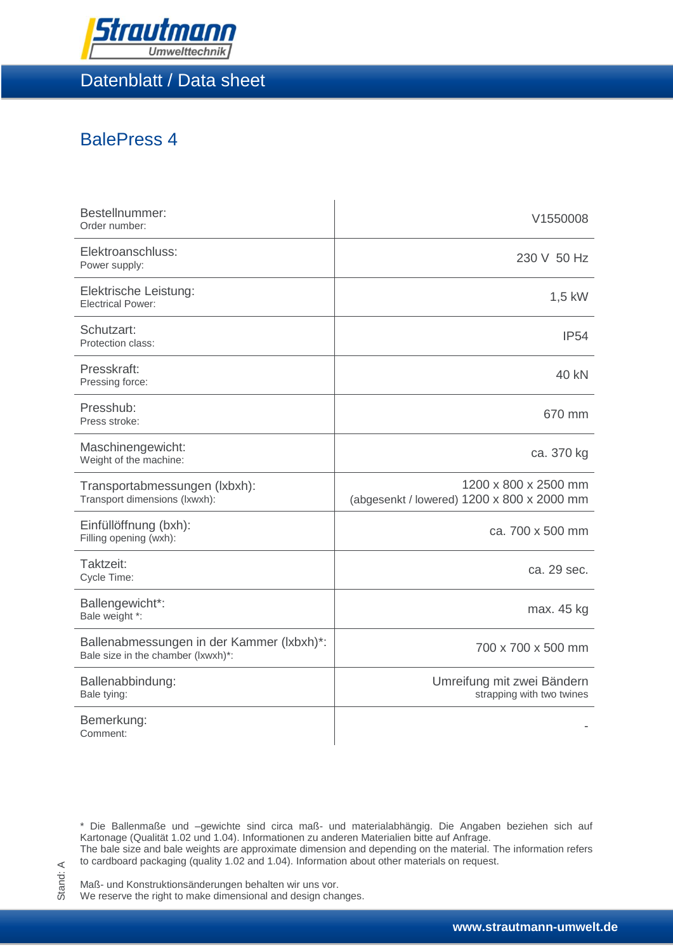

Datenblatt / Data sheet

## BalePress 4

| Bestellnummer:<br>Order number:                                                 | V1550008                                                           |
|---------------------------------------------------------------------------------|--------------------------------------------------------------------|
| Elektroanschluss:<br>Power supply:                                              | 230 V 50 Hz                                                        |
| Elektrische Leistung:<br><b>Electrical Power:</b>                               | $1,5$ kW                                                           |
| Schutzart:<br>Protection class:                                                 | <b>IP54</b>                                                        |
| Presskraft:<br>Pressing force:                                                  | 40 kN                                                              |
| Presshub:<br>Press stroke:                                                      | 670 mm                                                             |
| Maschinengewicht:<br>Weight of the machine:                                     | ca. 370 kg                                                         |
| Transportabmessungen (Ixbxh):<br>Transport dimensions (lxwxh):                  | 1200 x 800 x 2500 mm<br>(abgesenkt / lowered) 1200 x 800 x 2000 mm |
| Einfüllöffnung (bxh):<br>Filling opening (wxh):                                 | ca. 700 x 500 mm                                                   |
| Taktzeit:<br>Cycle Time:                                                        | ca. 29 sec.                                                        |
| Ballengewicht*:<br>Bale weight *:                                               | max. 45 kg                                                         |
| Ballenabmessungen in der Kammer (Ixbxh)*:<br>Bale size in the chamber (lxwxh)*: | 700 x 700 x 500 mm                                                 |
| Ballenabbindung:<br>Bale tying:                                                 | Umreifung mit zwei Bändern<br>strapping with two twines            |
| Bemerkung:<br>Comment:                                                          |                                                                    |

\* Die Ballenmaße und –gewichte sind circa maß- und materialabhängig. Die Angaben beziehen sich auf Kartonage (Qualität 1.02 und 1.04). Informationen zu anderen Materialien bitte auf Anfrage. The bale size and bale weights are approximate dimension and depending on the material. The information refers

to cardboard packaging (quality 1.02 and 1.04). Information about other materials on request.

Maß- und Konstruktionsänderungen behalten wir uns vor. We reserve the right to make dimensional and design changes.

Stand: A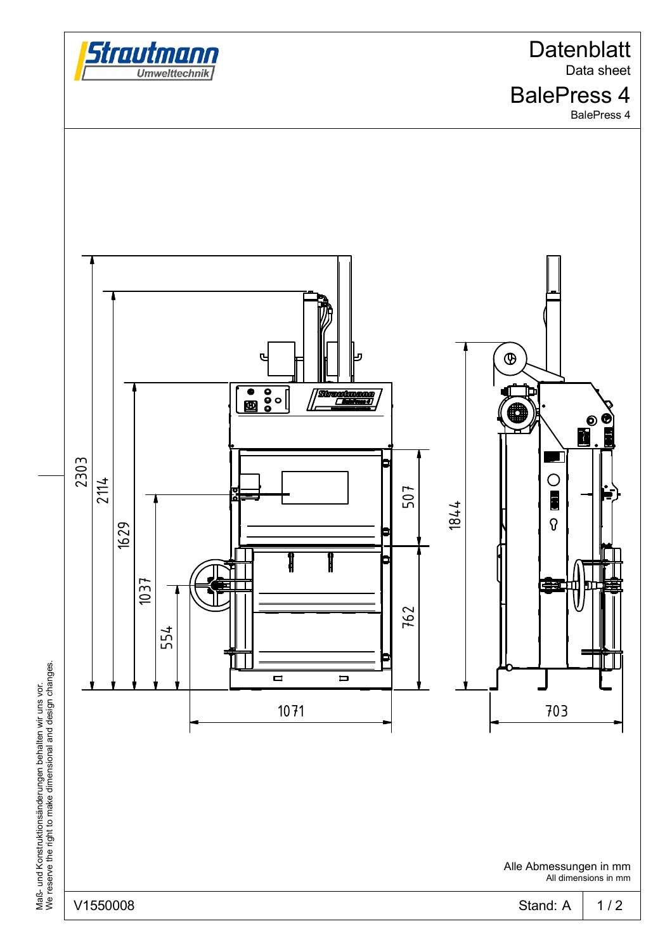